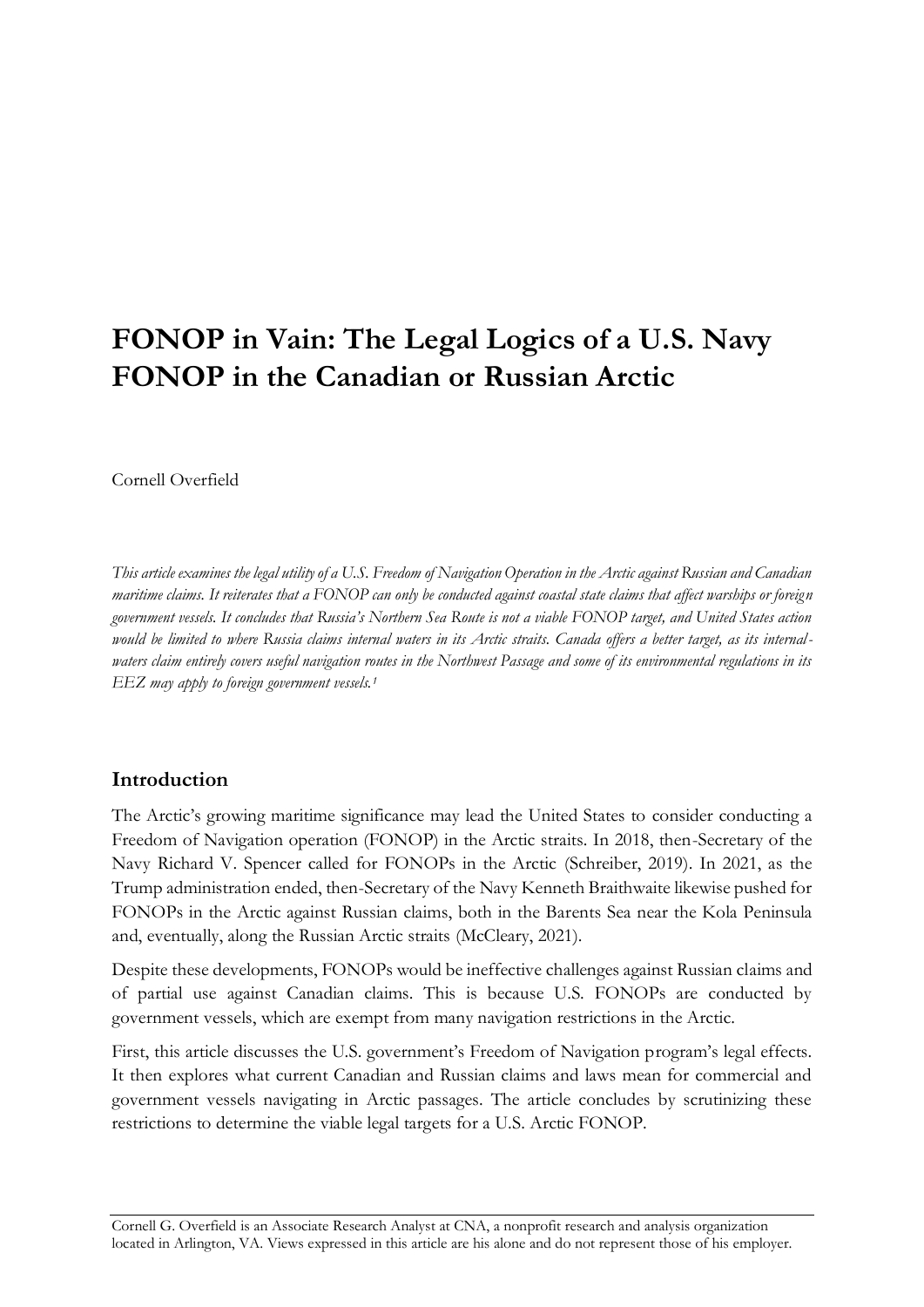# **FONOP in Vain: The Legal Logics of a U.S. Navy FONOP in the Canadian or Russian Arctic**

Cornell Overfield

*This article examines the legal utility of a U.S. Freedom of Navigation Operation in the Arctic against Russian and Canadian maritime claims. It reiterates that a FONOP can only be conducted against coastal state claims that affect warships or foreign government vessels. It concludes that Russia's Northern Sea Route is not a viable FONOP target, and United States action would be limited to where Russia claims internal waters in its Arctic straits. Canada offers a better target, as its internalwaters claim entirely covers useful navigation routes in the Northwest Passage and some of its environmental regulations in its EEZ may apply to foreign government vessels.<sup>1</sup>* 

# **Introduction**

The Arctic's growing maritime significance may lead the United States to consider conducting a Freedom of Navigation operation (FONOP) in the Arctic straits. In 2018, then-Secretary of the Navy Richard V. Spencer called for FONOPs in the Arctic (Schreiber, 2019). In 2021, as the Trump administration ended, then-Secretary of the Navy Kenneth Braithwaite likewise pushed for FONOPs in the Arctic against Russian claims, both in the Barents Sea near the Kola Peninsula and, eventually, along the Russian Arctic straits (McCleary, 2021).

Despite these developments, FONOPs would be ineffective challenges against Russian claims and of partial use against Canadian claims. This is because U.S. FONOPs are conducted by government vessels, which are exempt from many navigation restrictions in the Arctic.

First, this article discusses the U.S. government's Freedom of Navigation program's legal effects. It then explores what current Canadian and Russian claims and laws mean for commercial and government vessels navigating in Arctic passages. The article concludes by scrutinizing these restrictions to determine the viable legal targets for a U.S. Arctic FONOP.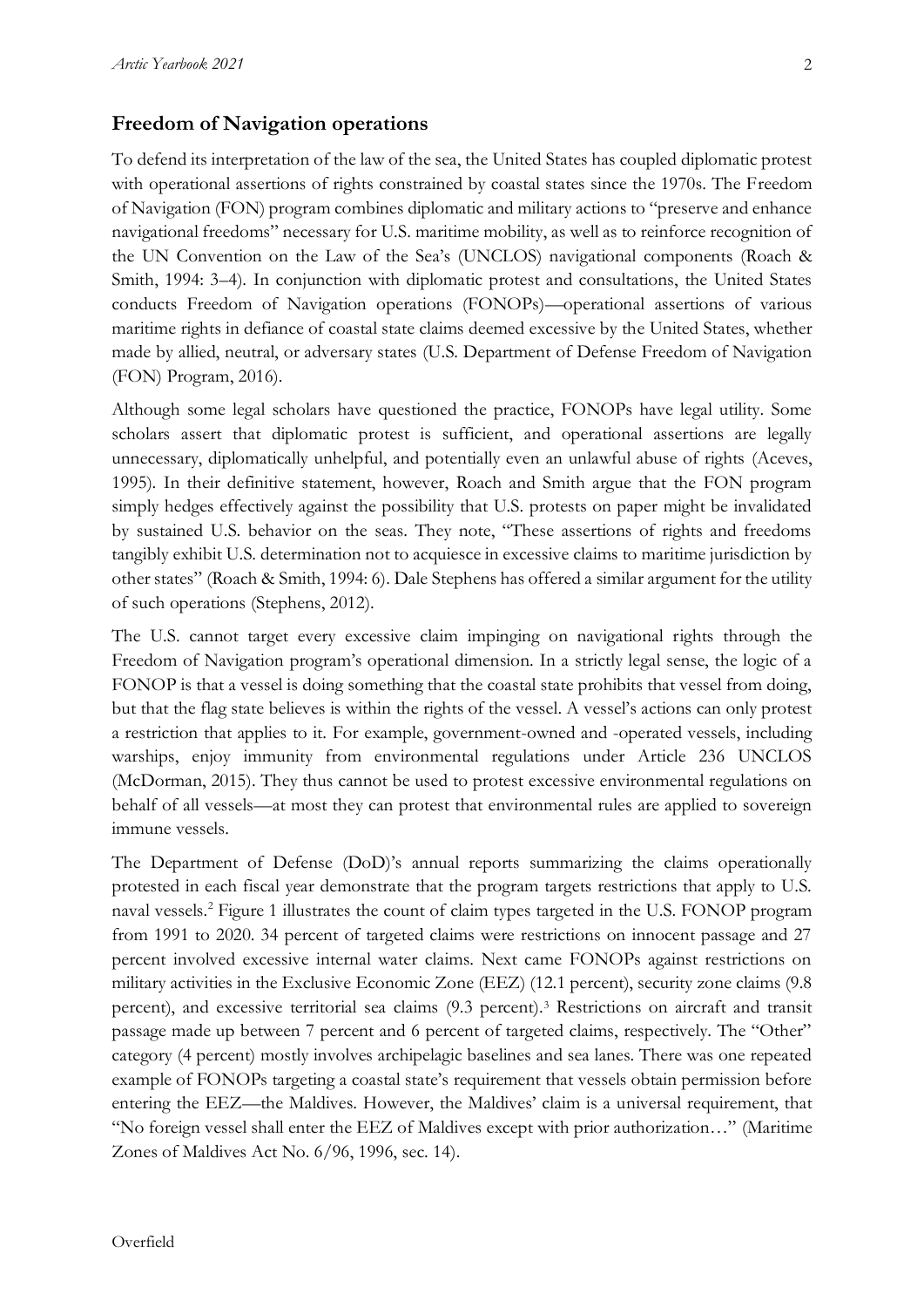#### **Freedom of Navigation operations**

To defend its interpretation of the law of the sea, the United States has coupled diplomatic protest with operational assertions of rights constrained by coastal states since the 1970s. The Freedom of Navigation (FON) program combines diplomatic and military actions to "preserve and enhance navigational freedoms" necessary for U.S. maritime mobility, as well as to reinforce recognition of the UN Convention on the Law of the Sea's (UNCLOS) navigational components (Roach & Smith, 1994: 3–4). In conjunction with diplomatic protest and consultations, the United States conducts Freedom of Navigation operations (FONOPs)—operational assertions of various maritime rights in defiance of coastal state claims deemed excessive by the United States, whether made by allied, neutral, or adversary states (U.S. Department of Defense Freedom of Navigation (FON) Program, 2016).

Although some legal scholars have questioned the practice, FONOPs have legal utility. Some scholars assert that diplomatic protest is sufficient, and operational assertions are legally unnecessary, diplomatically unhelpful, and potentially even an unlawful abuse of rights (Aceves, 1995). In their definitive statement, however, Roach and Smith argue that the FON program simply hedges effectively against the possibility that U.S. protests on paper might be invalidated by sustained U.S. behavior on the seas. They note, "These assertions of rights and freedoms tangibly exhibit U.S. determination not to acquiesce in excessive claims to maritime jurisdiction by other states" (Roach & Smith, 1994: 6). Dale Stephens has offered a similar argument for the utility of such operations (Stephens, 2012).

The U.S. cannot target every excessive claim impinging on navigational rights through the Freedom of Navigation program's operational dimension. In a strictly legal sense, the logic of a FONOP is that a vessel is doing something that the coastal state prohibits that vessel from doing, but that the flag state believes is within the rights of the vessel. A vessel's actions can only protest a restriction that applies to it. For example, government-owned and -operated vessels, including warships, enjoy immunity from environmental regulations under Article 236 UNCLOS (McDorman, 2015). They thus cannot be used to protest excessive environmental regulations on behalf of all vessels—at most they can protest that environmental rules are applied to sovereign immune vessels.

The Department of Defense (DoD)'s annual reports summarizing the claims operationally protested in each fiscal year demonstrate that the program targets restrictions that apply to U.S. naval vessels.<sup>2</sup> Figure 1 illustrates the count of claim types targeted in the U.S. FONOP program from 1991 to 2020. 34 percent of targeted claims were restrictions on innocent passage and 27 percent involved excessive internal water claims. Next came FONOPs against restrictions on military activities in the Exclusive Economic Zone (EEZ) (12.1 percent), security zone claims (9.8 percent), and excessive territorial sea claims (9.3 percent).<sup>3</sup> Restrictions on aircraft and transit passage made up between 7 percent and 6 percent of targeted claims, respectively. The "Other" category (4 percent) mostly involves archipelagic baselines and sea lanes. There was one repeated example of FONOPs targeting a coastal state's requirement that vessels obtain permission before entering the EEZ—the Maldives. However, the Maldives' claim is a universal requirement, that "No foreign vessel shall enter the EEZ of Maldives except with prior authorization…" (Maritime Zones of Maldives Act No. 6/96, 1996, sec. 14).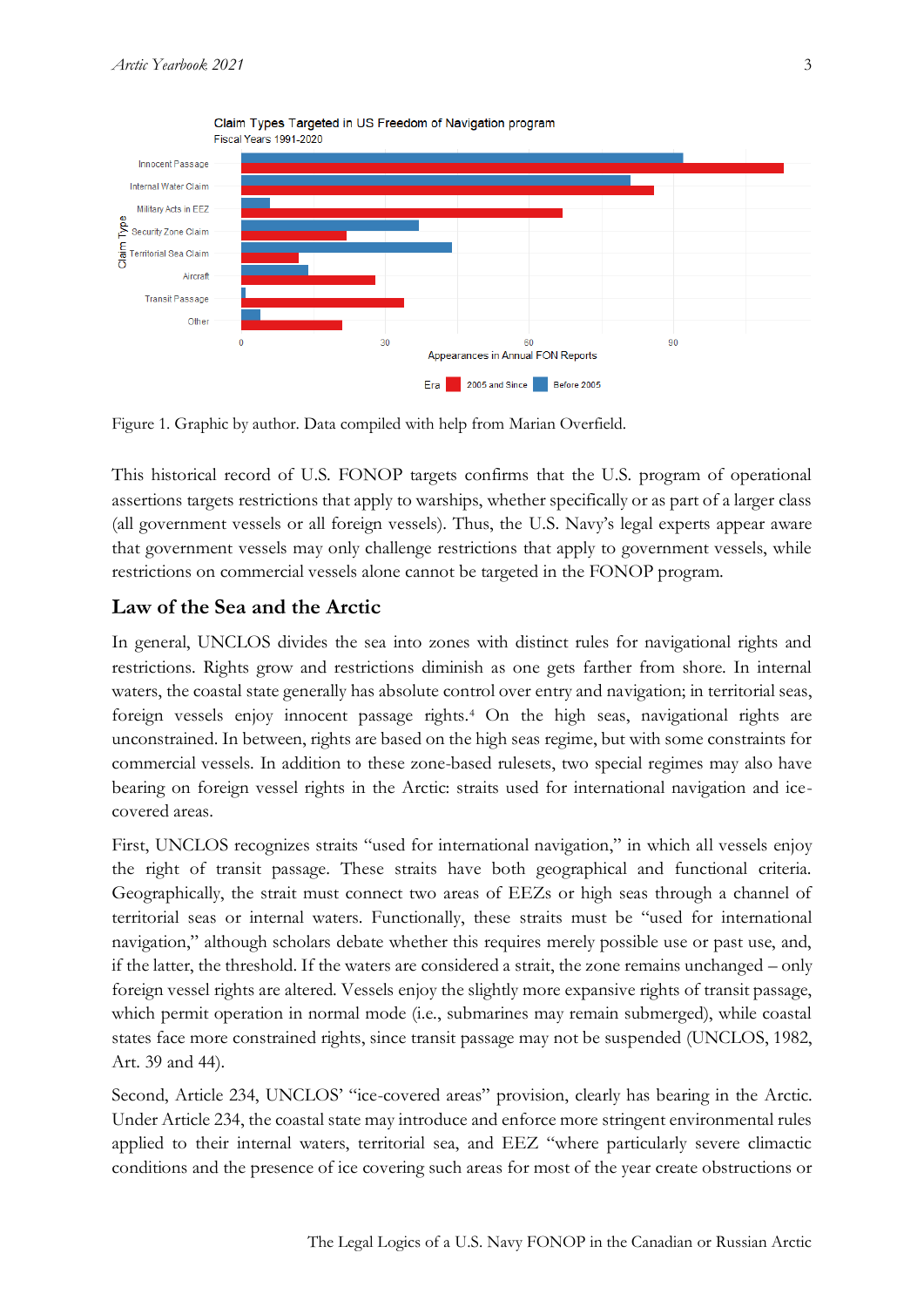

Figure 1. Graphic by author. Data compiled with help from Marian Overfield.

This historical record of U.S. FONOP targets confirms that the U.S. program of operational assertions targets restrictions that apply to warships, whether specifically or as part of a larger class (all government vessels or all foreign vessels). Thus, the U.S. Navy's legal experts appear aware that government vessels may only challenge restrictions that apply to government vessels, while restrictions on commercial vessels alone cannot be targeted in the FONOP program.

# **Law of the Sea and the Arctic**

In general, UNCLOS divides the sea into zones with distinct rules for navigational rights and restrictions. Rights grow and restrictions diminish as one gets farther from shore. In internal waters, the coastal state generally has absolute control over entry and navigation; in territorial seas, foreign vessels enjoy innocent passage rights.<sup>4</sup> On the high seas, navigational rights are unconstrained. In between, rights are based on the high seas regime, but with some constraints for commercial vessels. In addition to these zone-based rulesets, two special regimes may also have bearing on foreign vessel rights in the Arctic: straits used for international navigation and icecovered areas.

First, UNCLOS recognizes straits "used for international navigation," in which all vessels enjoy the right of transit passage. These straits have both geographical and functional criteria. Geographically, the strait must connect two areas of EEZs or high seas through a channel of territorial seas or internal waters. Functionally, these straits must be "used for international navigation," although scholars debate whether this requires merely possible use or past use, and, if the latter, the threshold. If the waters are considered a strait, the zone remains unchanged – only foreign vessel rights are altered. Vessels enjoy the slightly more expansive rights of transit passage, which permit operation in normal mode (i.e., submarines may remain submerged), while coastal states face more constrained rights, since transit passage may not be suspended (UNCLOS, 1982, Art. 39 and 44).

Second, Article 234, UNCLOS' "ice-covered areas" provision, clearly has bearing in the Arctic. Under Article 234, the coastal state may introduce and enforce more stringent environmental rules applied to their internal waters, territorial sea, and EEZ "where particularly severe climactic conditions and the presence of ice covering such areas for most of the year create obstructions or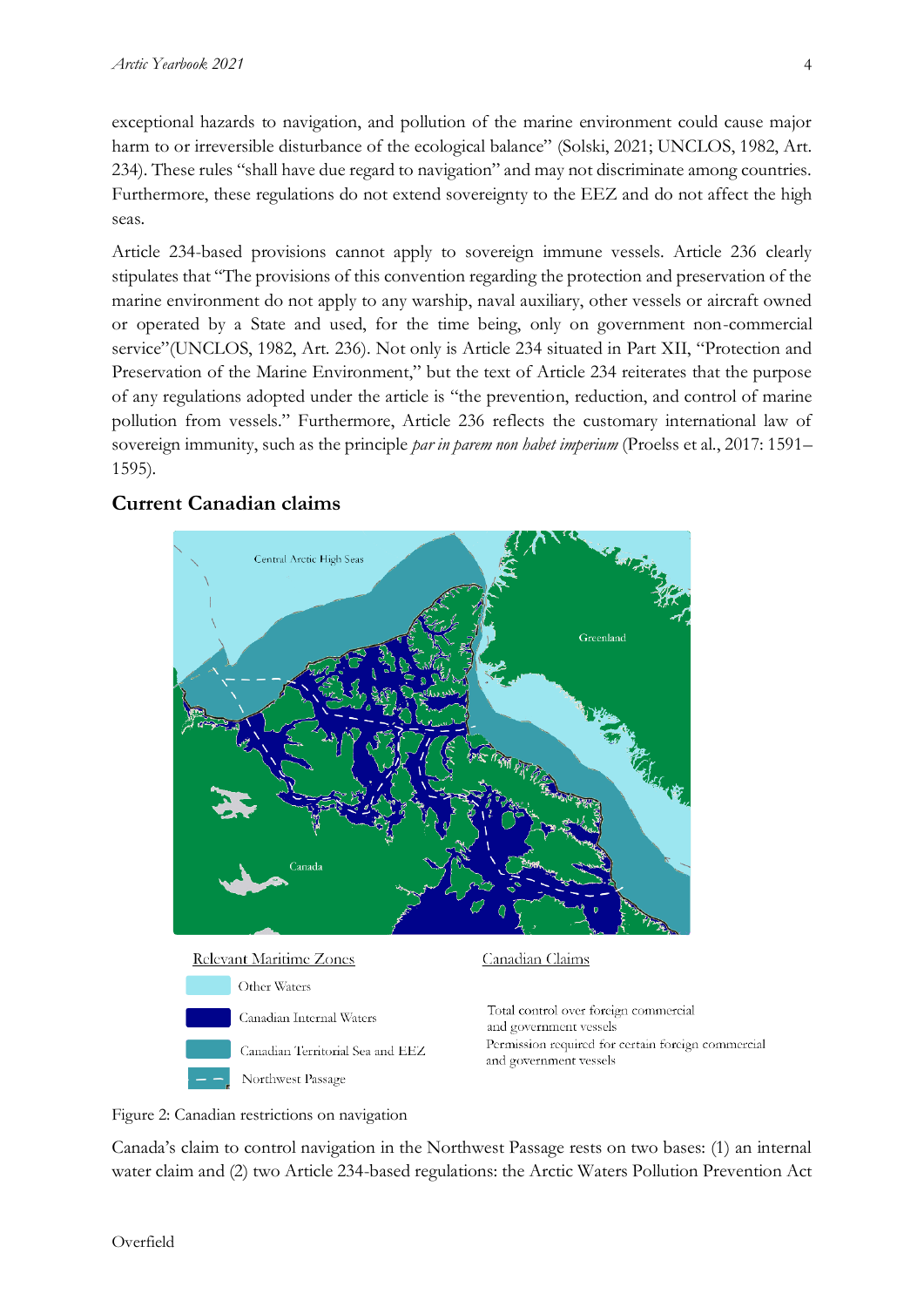exceptional hazards to navigation, and pollution of the marine environment could cause major harm to or irreversible disturbance of the ecological balance" (Solski, 2021; UNCLOS, 1982, Art. 234). These rules "shall have due regard to navigation" and may not discriminate among countries. Furthermore, these regulations do not extend sovereignty to the EEZ and do not affect the high seas.

Article 234-based provisions cannot apply to sovereign immune vessels. Article 236 clearly stipulates that "The provisions of this convention regarding the protection and preservation of the marine environment do not apply to any warship, naval auxiliary, other vessels or aircraft owned or operated by a State and used, for the time being, only on government non-commercial service"(UNCLOS, 1982, Art. 236). Not only is Article 234 situated in Part XII, "Protection and Preservation of the Marine Environment," but the text of Article 234 reiterates that the purpose of any regulations adopted under the article is "the prevention, reduction, and control of marine pollution from vessels." Furthermore, Article 236 reflects the customary international law of sovereign immunity, such as the principle *par in parem non habet imperium* (Proelss et al., 2017: 1591– 1595).

# **Current Canadian claims**



Figure 2: Canadian restrictions on navigation

Canada's claim to control navigation in the Northwest Passage rests on two bases: (1) an internal water claim and (2) two Article 234-based regulations: the Arctic Waters Pollution Prevention Act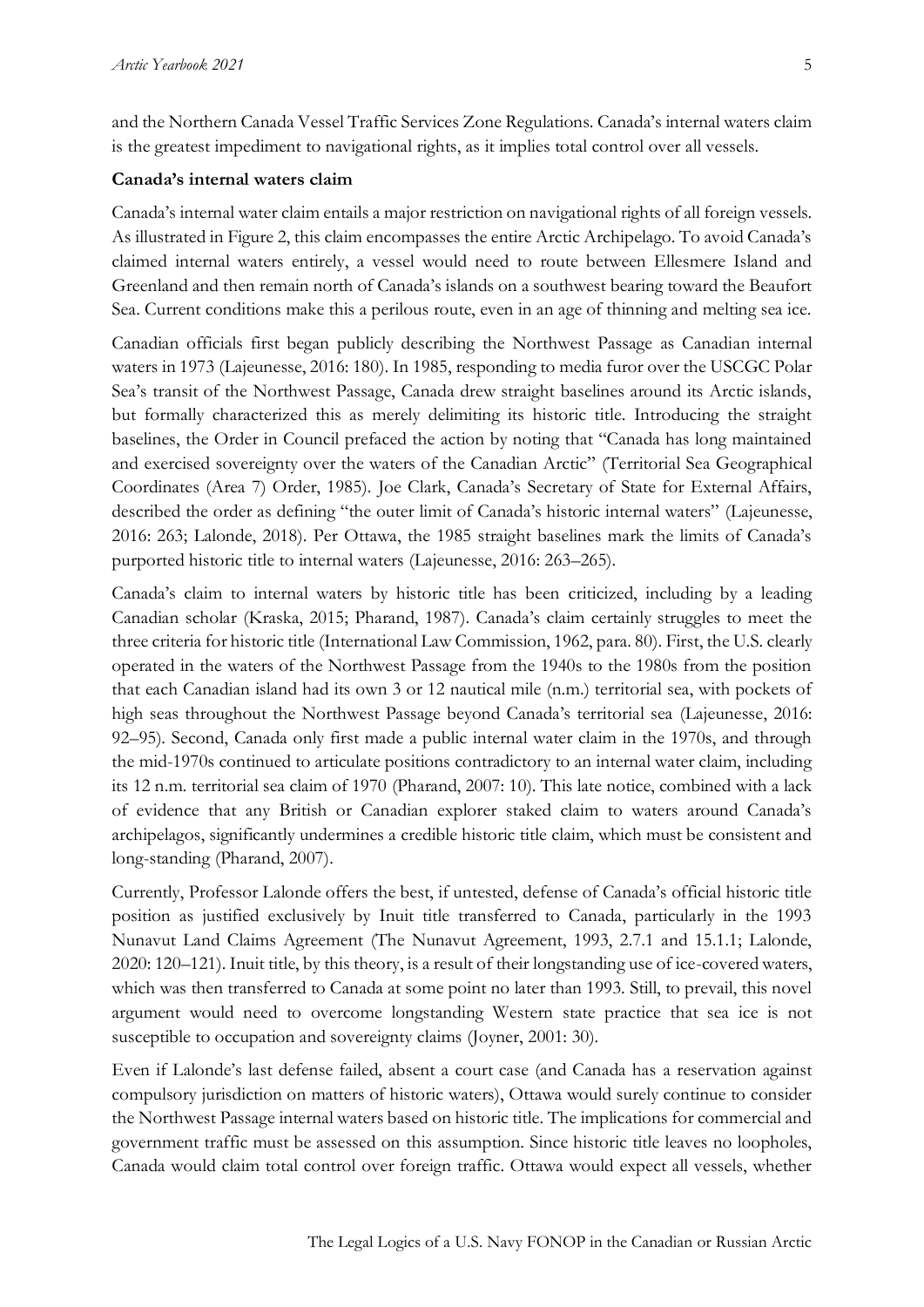and the Northern Canada Vessel Traffic Services Zone Regulations. Canada's internal waters claim is the greatest impediment to navigational rights, as it implies total control over all vessels.

#### **Canada's internal waters claim**

Canada's internal water claim entails a major restriction on navigational rights of all foreign vessels. As illustrated in Figure 2, this claim encompasses the entire Arctic Archipelago. To avoid Canada's claimed internal waters entirely, a vessel would need to route between Ellesmere Island and Greenland and then remain north of Canada's islands on a southwest bearing toward the Beaufort Sea. Current conditions make this a perilous route, even in an age of thinning and melting sea ice.

Canadian officials first began publicly describing the Northwest Passage as Canadian internal waters in 1973 (Lajeunesse, 2016: 180). In 1985, responding to media furor over the USCGC Polar Sea's transit of the Northwest Passage, Canada drew straight baselines around its Arctic islands, but formally characterized this as merely delimiting its historic title. Introducing the straight baselines, the Order in Council prefaced the action by noting that "Canada has long maintained and exercised sovereignty over the waters of the Canadian Arctic" (Territorial Sea Geographical Coordinates (Area 7) Order, 1985). Joe Clark, Canada's Secretary of State for External Affairs, described the order as defining "the outer limit of Canada's historic internal waters" (Lajeunesse, 2016: 263; Lalonde, 2018). Per Ottawa, the 1985 straight baselines mark the limits of Canada's purported historic title to internal waters (Lajeunesse, 2016: 263–265).

Canada's claim to internal waters by historic title has been criticized, including by a leading Canadian scholar (Kraska, 2015; Pharand, 1987). Canada's claim certainly struggles to meet the three criteria for historic title (International Law Commission, 1962, para. 80). First, the U.S. clearly operated in the waters of the Northwest Passage from the 1940s to the 1980s from the position that each Canadian island had its own 3 or 12 nautical mile (n.m.) territorial sea, with pockets of high seas throughout the Northwest Passage beyond Canada's territorial sea (Lajeunesse, 2016: 92–95). Second, Canada only first made a public internal water claim in the 1970s, and through the mid-1970s continued to articulate positions contradictory to an internal water claim, including its 12 n.m. territorial sea claim of 1970 (Pharand, 2007: 10). This late notice, combined with a lack of evidence that any British or Canadian explorer staked claim to waters around Canada's archipelagos, significantly undermines a credible historic title claim, which must be consistent and long-standing (Pharand, 2007).

Currently, Professor Lalonde offers the best, if untested, defense of Canada's official historic title position as justified exclusively by Inuit title transferred to Canada, particularly in the 1993 Nunavut Land Claims Agreement (The Nunavut Agreement, 1993, 2.7.1 and 15.1.1; Lalonde, 2020: 120–121). Inuit title, by this theory, is a result of their longstanding use of ice-covered waters, which was then transferred to Canada at some point no later than 1993. Still, to prevail, this novel argument would need to overcome longstanding Western state practice that sea ice is not susceptible to occupation and sovereignty claims (Joyner, 2001: 30).

Even if Lalonde's last defense failed, absent a court case (and Canada has a reservation against compulsory jurisdiction on matters of historic waters), Ottawa would surely continue to consider the Northwest Passage internal waters based on historic title. The implications for commercial and government traffic must be assessed on this assumption. Since historic title leaves no loopholes, Canada would claim total control over foreign traffic. Ottawa would expect all vessels, whether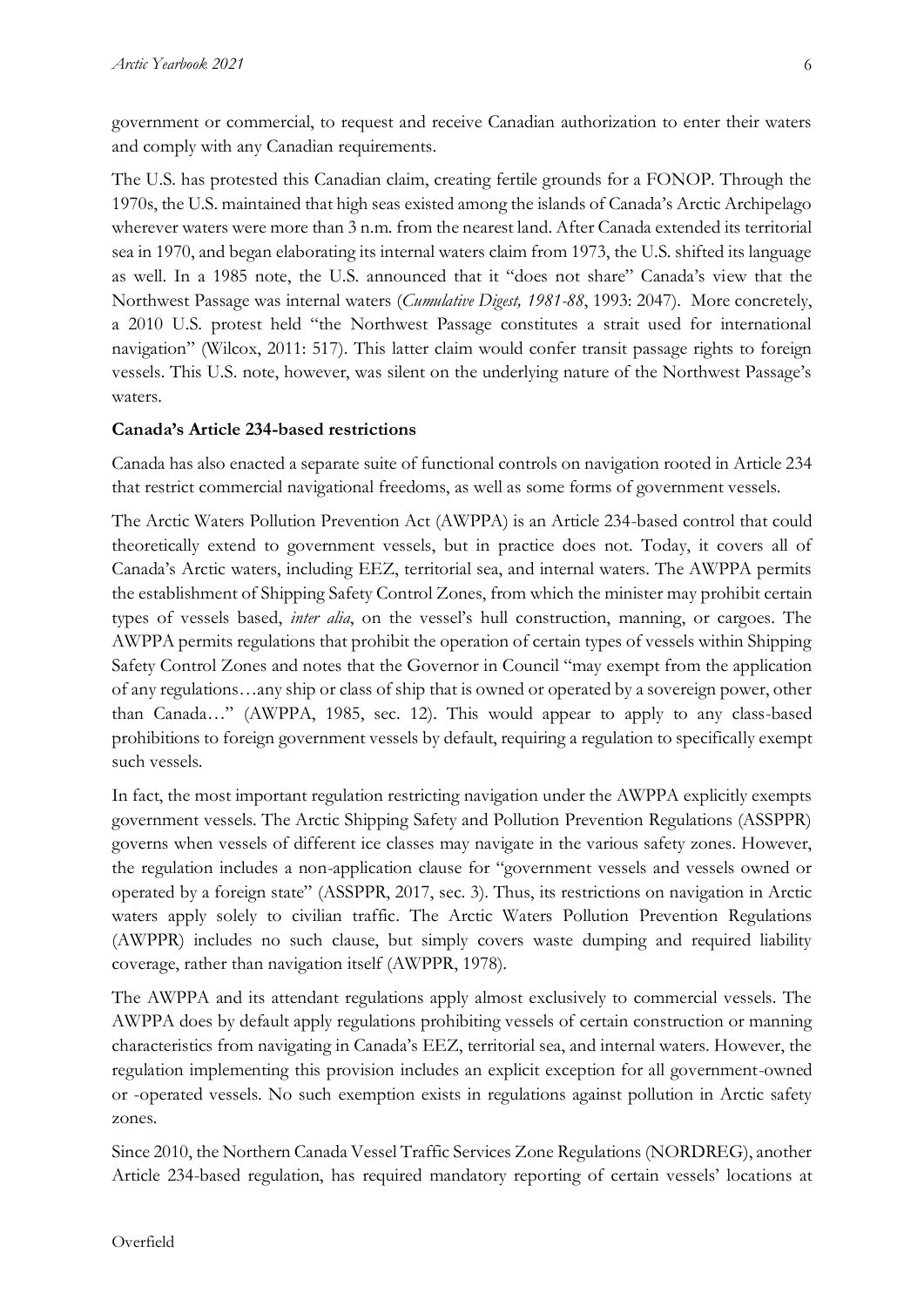government or commercial, to request and receive Canadian authorization to enter their waters and comply with any Canadian requirements.

The U.S. has protested this Canadian claim, creating fertile grounds for a FONOP. Through the 1970s, the U.S. maintained that high seas existed among the islands of Canada's Arctic Archipelago wherever waters were more than 3 n.m. from the nearest land. After Canada extended its territorial sea in 1970, and began elaborating its internal waters claim from 1973, the U.S. shifted its language as well. In a 1985 note, the U.S. announced that it "does not share" Canada's view that the Northwest Passage was internal waters (*Cumulative Digest, 1981-88*, 1993: 2047). More concretely, a 2010 U.S. protest held "the Northwest Passage constitutes a strait used for international navigation" (Wilcox, 2011: 517). This latter claim would confer transit passage rights to foreign vessels. This U.S. note, however, was silent on the underlying nature of the Northwest Passage's waters.

## **Canada's Article 234-based restrictions**

Canada has also enacted a separate suite of functional controls on navigation rooted in Article 234 that restrict commercial navigational freedoms, as well as some forms of government vessels.

The Arctic Waters Pollution Prevention Act (AWPPA) is an Article 234-based control that could theoretically extend to government vessels, but in practice does not. Today, it covers all of Canada's Arctic waters, including EEZ, territorial sea, and internal waters. The AWPPA permits the establishment of Shipping Safety Control Zones, from which the minister may prohibit certain types of vessels based, *inter alia*, on the vessel's hull construction, manning, or cargoes. The AWPPA permits regulations that prohibit the operation of certain types of vessels within Shipping Safety Control Zones and notes that the Governor in Council "may exempt from the application of any regulations…any ship or class of ship that is owned or operated by a sovereign power, other than Canada…" (AWPPA, 1985, sec. 12). This would appear to apply to any class-based prohibitions to foreign government vessels by default, requiring a regulation to specifically exempt such vessels.

In fact, the most important regulation restricting navigation under the AWPPA explicitly exempts government vessels. The Arctic Shipping Safety and Pollution Prevention Regulations (ASSPPR) governs when vessels of different ice classes may navigate in the various safety zones. However, the regulation includes a non-application clause for "government vessels and vessels owned or operated by a foreign state" (ASSPPR, 2017, sec. 3). Thus, its restrictions on navigation in Arctic waters apply solely to civilian traffic. The Arctic Waters Pollution Prevention Regulations (AWPPR) includes no such clause, but simply covers waste dumping and required liability coverage, rather than navigation itself (AWPPR, 1978).

The AWPPA and its attendant regulations apply almost exclusively to commercial vessels. The AWPPA does by default apply regulations prohibiting vessels of certain construction or manning characteristics from navigating in Canada's EEZ, territorial sea, and internal waters. However, the regulation implementing this provision includes an explicit exception for all government-owned or -operated vessels. No such exemption exists in regulations against pollution in Arctic safety zones.

Since 2010, the Northern Canada Vessel Traffic Services Zone Regulations (NORDREG), another Article 234-based regulation, has required mandatory reporting of certain vessels' locations at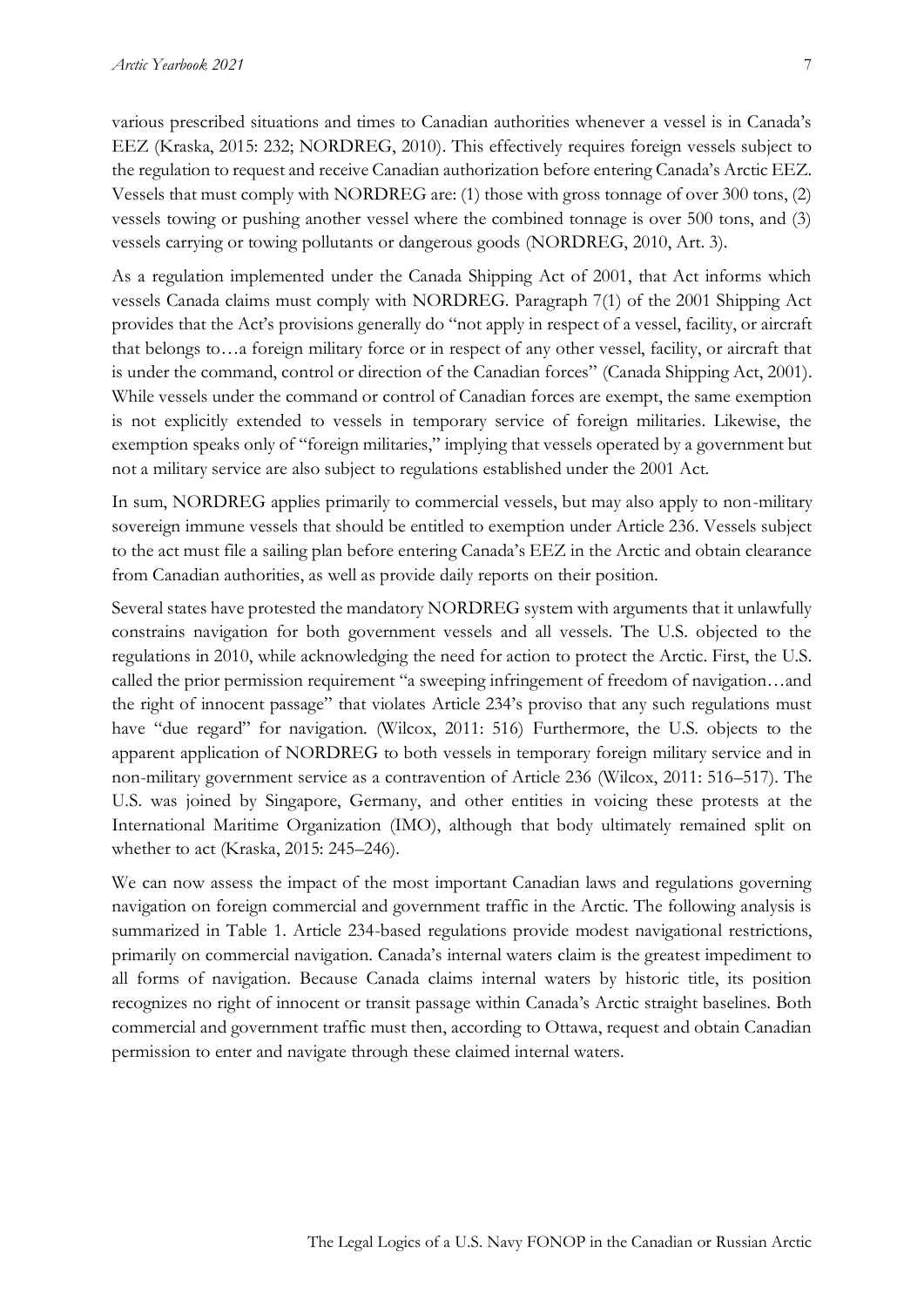various prescribed situations and times to Canadian authorities whenever a vessel is in Canada's EEZ (Kraska, 2015: 232; NORDREG, 2010). This effectively requires foreign vessels subject to the regulation to request and receive Canadian authorization before entering Canada's Arctic EEZ. Vessels that must comply with NORDREG are: (1) those with gross tonnage of over 300 tons, (2) vessels towing or pushing another vessel where the combined tonnage is over 500 tons, and (3) vessels carrying or towing pollutants or dangerous goods (NORDREG, 2010, Art. 3).

As a regulation implemented under the Canada Shipping Act of 2001, that Act informs which vessels Canada claims must comply with NORDREG. Paragraph 7(1) of the 2001 Shipping Act provides that the Act's provisions generally do "not apply in respect of a vessel, facility, or aircraft that belongs to…a foreign military force or in respect of any other vessel, facility, or aircraft that is under the command, control or direction of the Canadian forces" (Canada Shipping Act, 2001). While vessels under the command or control of Canadian forces are exempt, the same exemption is not explicitly extended to vessels in temporary service of foreign militaries. Likewise, the exemption speaks only of "foreign militaries," implying that vessels operated by a government but not a military service are also subject to regulations established under the 2001 Act.

In sum, NORDREG applies primarily to commercial vessels, but may also apply to non-military sovereign immune vessels that should be entitled to exemption under Article 236. Vessels subject to the act must file a sailing plan before entering Canada's EEZ in the Arctic and obtain clearance from Canadian authorities, as well as provide daily reports on their position.

Several states have protested the mandatory NORDREG system with arguments that it unlawfully constrains navigation for both government vessels and all vessels. The U.S. objected to the regulations in 2010, while acknowledging the need for action to protect the Arctic. First, the U.S. called the prior permission requirement "a sweeping infringement of freedom of navigation…and the right of innocent passage" that violates Article 234's proviso that any such regulations must have "due regard" for navigation. (Wilcox, 2011: 516) Furthermore, the U.S. objects to the apparent application of NORDREG to both vessels in temporary foreign military service and in non-military government service as a contravention of Article 236 (Wilcox, 2011: 516–517). The U.S. was joined by Singapore, Germany, and other entities in voicing these protests at the International Maritime Organization (IMO), although that body ultimately remained split on whether to act (Kraska, 2015: 245–246).

We can now assess the impact of the most important Canadian laws and regulations governing navigation on foreign commercial and government traffic in the Arctic. The following analysis is summarized in Table 1. Article 234-based regulations provide modest navigational restrictions, primarily on commercial navigation. Canada's internal waters claim is the greatest impediment to all forms of navigation. Because Canada claims internal waters by historic title, its position recognizes no right of innocent or transit passage within Canada's Arctic straight baselines. Both commercial and government traffic must then, according to Ottawa, request and obtain Canadian permission to enter and navigate through these claimed internal waters.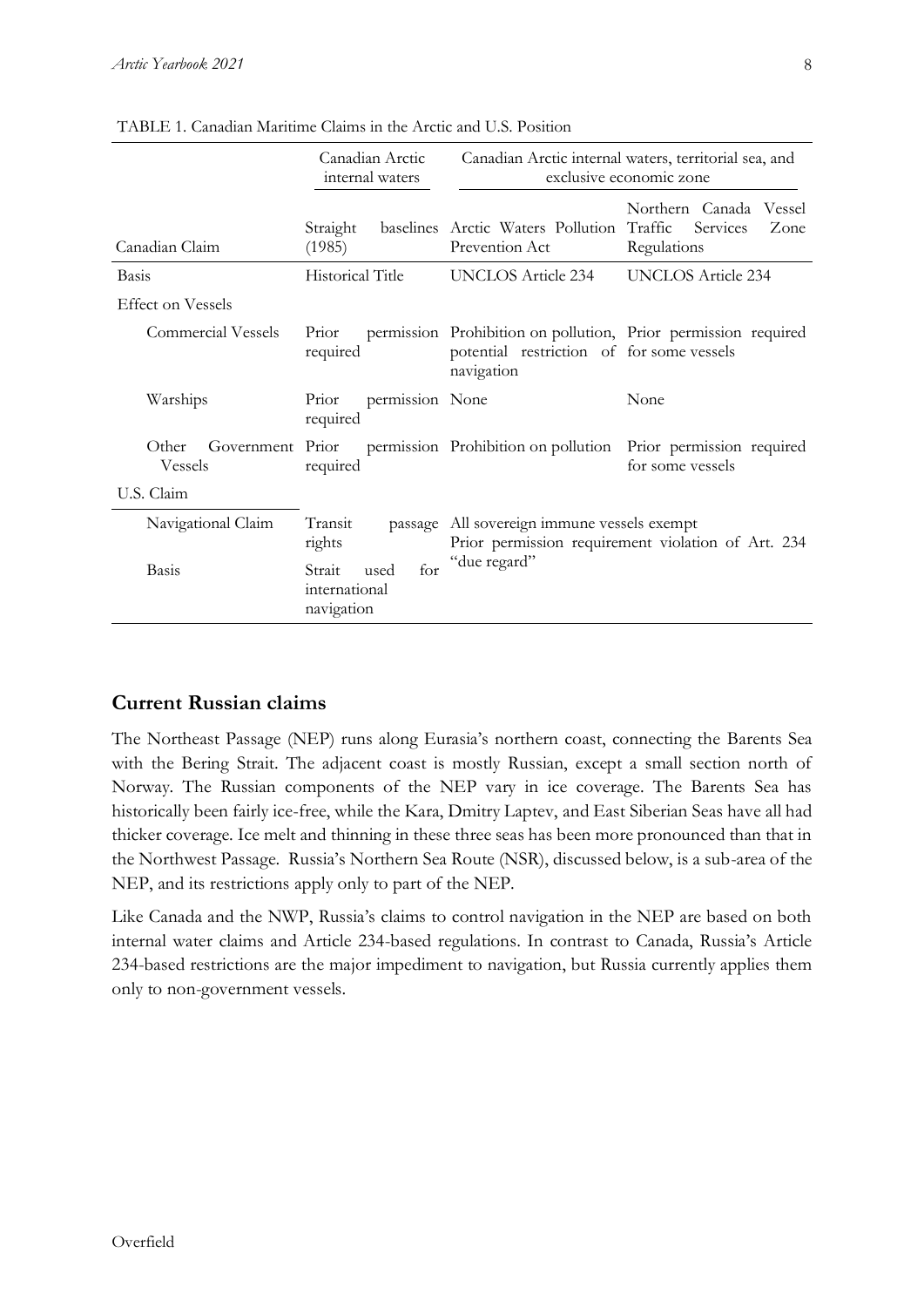|                                             | Canadian Arctic<br>internal waters                   | Canadian Arctic internal waters, territorial sea, and<br>exclusive economic zone                                  |                                                                  |
|---------------------------------------------|------------------------------------------------------|-------------------------------------------------------------------------------------------------------------------|------------------------------------------------------------------|
| Canadian Claim                              | Straight<br>(1985)                                   | baselines Arctic Waters Pollution Traffic<br>Prevention Act                                                       | Northern Canada Vessel<br><b>Services</b><br>Zone<br>Regulations |
| Basis                                       | <b>Historical Title</b>                              | <b>UNCLOS Article 234</b>                                                                                         | <b>UNCLOS Article 234</b>                                        |
| <b>Effect on Vessels</b>                    |                                                      |                                                                                                                   |                                                                  |
| <b>Commercial Vessels</b>                   | Prior<br>required                                    | potential restriction of for some vessels<br>navigation                                                           | permission Prohibition on pollution, Prior permission required   |
| Warships                                    | permission None<br>Prior<br>required                 |                                                                                                                   | None                                                             |
| Other<br>Government Prior<br><b>Vessels</b> | required                                             | permission Prohibition on pollution                                                                               | Prior permission required<br>for some vessels                    |
| U.S. Claim                                  |                                                      |                                                                                                                   |                                                                  |
| Navigational Claim                          | Transit<br>rights                                    | passage All sovereign immune vessels exempt<br>Prior permission requirement violation of Art. 234<br>"due regard" |                                                                  |
| <b>Basis</b>                                | for<br>Strait<br>used<br>international<br>navigation |                                                                                                                   |                                                                  |

TABLE 1. Canadian Maritime Claims in the Arctic and U.S. Position

# **Current Russian claims**

The Northeast Passage (NEP) runs along Eurasia's northern coast, connecting the Barents Sea with the Bering Strait. The adjacent coast is mostly Russian, except a small section north of Norway. The Russian components of the NEP vary in ice coverage. The Barents Sea has historically been fairly ice-free, while the Kara, Dmitry Laptev, and East Siberian Seas have all had thicker coverage. Ice melt and thinning in these three seas has been more pronounced than that in the Northwest Passage. Russia's Northern Sea Route (NSR), discussed below, is a sub-area of the NEP, and its restrictions apply only to part of the NEP.

Like Canada and the NWP, Russia's claims to control navigation in the NEP are based on both internal water claims and Article 234-based regulations. In contrast to Canada, Russia's Article 234-based restrictions are the major impediment to navigation, but Russia currently applies them only to non-government vessels.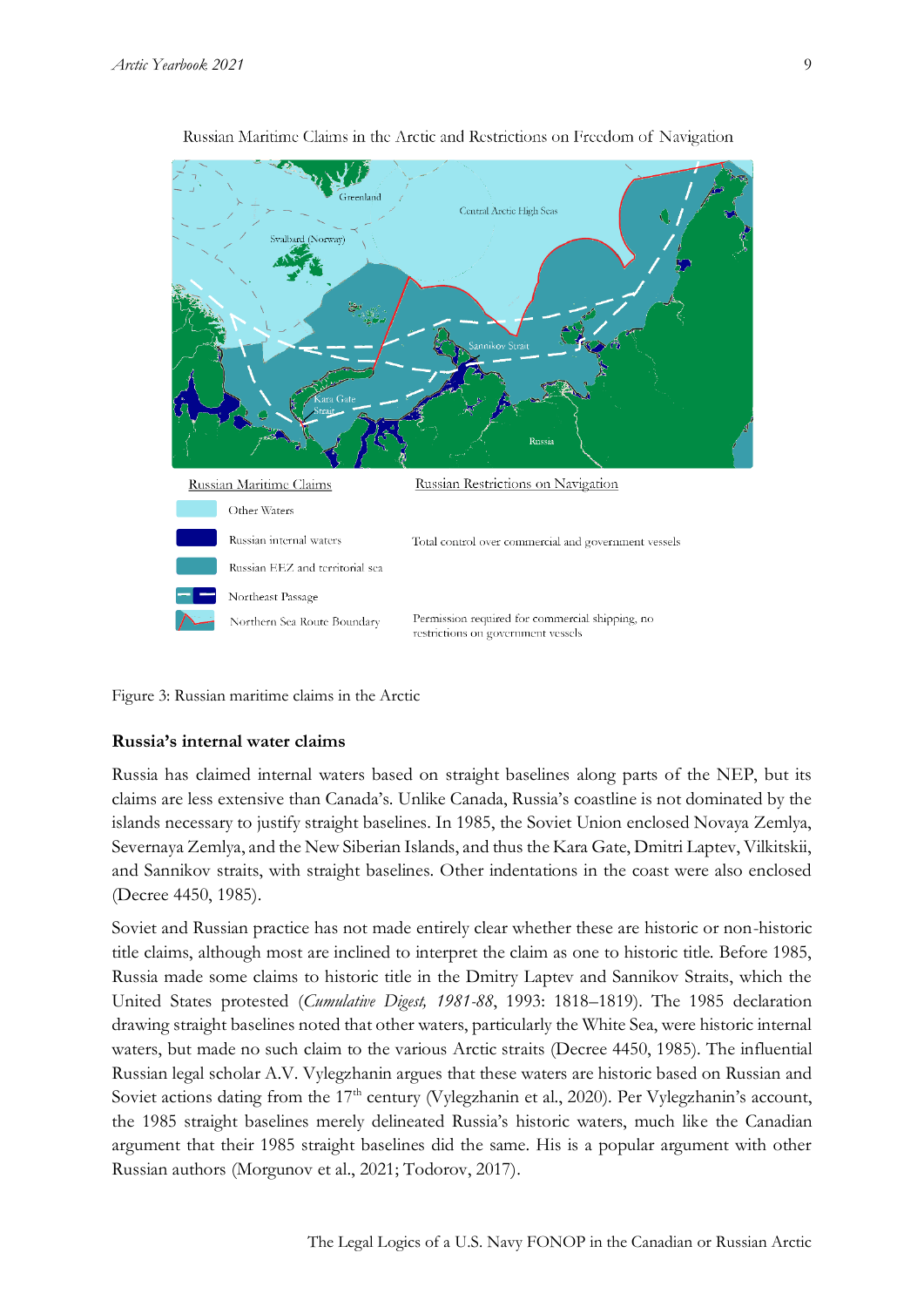

Russian Maritime Claims in the Arctic and Restrictions on Freedom of Navigation

Figure 3: Russian maritime claims in the Arctic

#### **Russia's internal water claims**

Russia has claimed internal waters based on straight baselines along parts of the NEP, but its claims are less extensive than Canada's. Unlike Canada, Russia's coastline is not dominated by the islands necessary to justify straight baselines. In 1985, the Soviet Union enclosed Novaya Zemlya, Severnaya Zemlya, and the New Siberian Islands, and thus the Kara Gate, Dmitri Laptev, Vilkitskii, and Sannikov straits, with straight baselines. Other indentations in the coast were also enclosed (Decree 4450, 1985).

Soviet and Russian practice has not made entirely clear whether these are historic or non-historic title claims, although most are inclined to interpret the claim as one to historic title. Before 1985, Russia made some claims to historic title in the Dmitry Laptev and Sannikov Straits, which the United States protested (*Cumulative Digest, 1981-88*, 1993: 1818–1819). The 1985 declaration drawing straight baselines noted that other waters, particularly the White Sea, were historic internal waters, but made no such claim to the various Arctic straits (Decree 4450, 1985). The influential Russian legal scholar A.V. Vylegzhanin argues that these waters are historic based on Russian and Soviet actions dating from the 17<sup>th</sup> century (Vylegzhanin et al., 2020). Per Vylegzhanin's account, the 1985 straight baselines merely delineated Russia's historic waters, much like the Canadian argument that their 1985 straight baselines did the same. His is a popular argument with other Russian authors (Morgunov et al., 2021; Todorov, 2017).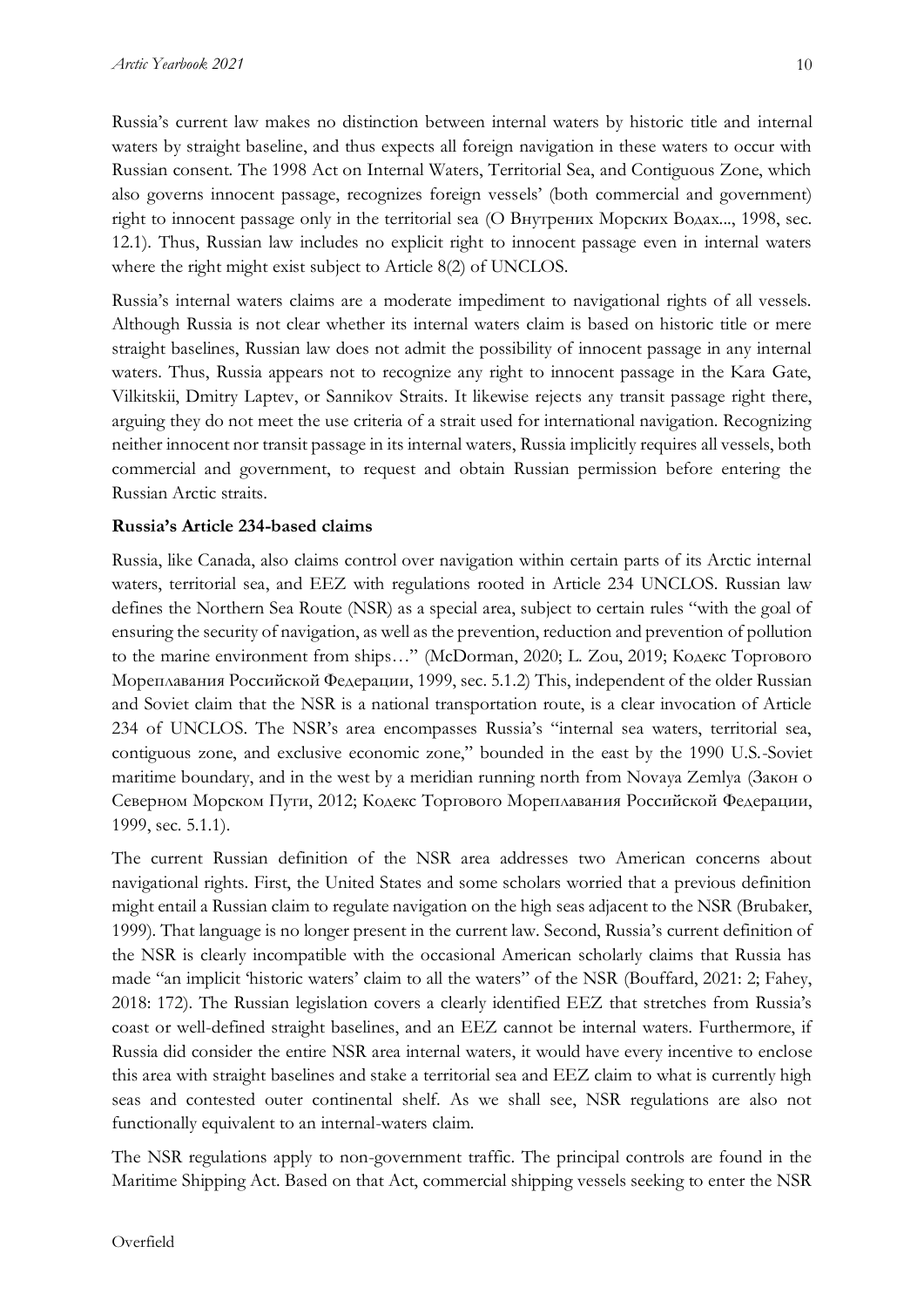Russia's current law makes no distinction between internal waters by historic title and internal waters by straight baseline, and thus expects all foreign navigation in these waters to occur with Russian consent. The 1998 Act on Internal Waters, Territorial Sea, and Contiguous Zone, which also governs innocent passage, recognizes foreign vessels' (both commercial and government) right to innocent passage only in the territorial sea (О Внутрених Морских Водах..., 1998, sec. 12.1). Thus, Russian law includes no explicit right to innocent passage even in internal waters where the right might exist subject to Article 8(2) of UNCLOS.

Russia's internal waters claims are a moderate impediment to navigational rights of all vessels. Although Russia is not clear whether its internal waters claim is based on historic title or mere straight baselines, Russian law does not admit the possibility of innocent passage in any internal waters. Thus, Russia appears not to recognize any right to innocent passage in the Kara Gate, Vilkitskii, Dmitry Laptev, or Sannikov Straits. It likewise rejects any transit passage right there, arguing they do not meet the use criteria of a strait used for international navigation. Recognizing neither innocent nor transit passage in its internal waters, Russia implicitly requires all vessels, both commercial and government, to request and obtain Russian permission before entering the Russian Arctic straits.

#### **Russia's Article 234-based claims**

Russia, like Canada, also claims control over navigation within certain parts of its Arctic internal waters, territorial sea, and EEZ with regulations rooted in Article 234 UNCLOS. Russian law defines the Northern Sea Route (NSR) as a special area, subject to certain rules "with the goal of ensuring the security of navigation, as well as the prevention, reduction and prevention of pollution to the marine environment from ships…" (McDorman, 2020; L. Zou, 2019; Кодекс Торгового Мореплавания Российской Федерации, 1999, sec. 5.1.2) This, independent of the older Russian and Soviet claim that the NSR is a national transportation route, is a clear invocation of Article 234 of UNCLOS. The NSR's area encompasses Russia's "internal sea waters, territorial sea, contiguous zone, and exclusive economic zone," bounded in the east by the 1990 U.S.-Soviet maritime boundary, and in the west by a meridian running north from Novaya Zemlya (Закон о Северном Морском Пути, 2012; Кодекс Торгового Мореплавания Российской Федерации, 1999, sec. 5.1.1).

The current Russian definition of the NSR area addresses two American concerns about navigational rights. First, the United States and some scholars worried that a previous definition might entail a Russian claim to regulate navigation on the high seas adjacent to the NSR (Brubaker, 1999). That language is no longer present in the current law. Second, Russia's current definition of the NSR is clearly incompatible with the occasional American scholarly claims that Russia has made "an implicit 'historic waters' claim to all the waters" of the NSR (Bouffard, 2021: 2; Fahey, 2018: 172). The Russian legislation covers a clearly identified EEZ that stretches from Russia's coast or well-defined straight baselines, and an EEZ cannot be internal waters. Furthermore, if Russia did consider the entire NSR area internal waters, it would have every incentive to enclose this area with straight baselines and stake a territorial sea and EEZ claim to what is currently high seas and contested outer continental shelf. As we shall see, NSR regulations are also not functionally equivalent to an internal-waters claim.

The NSR regulations apply to non-government traffic. The principal controls are found in the Maritime Shipping Act. Based on that Act, commercial shipping vessels seeking to enter the NSR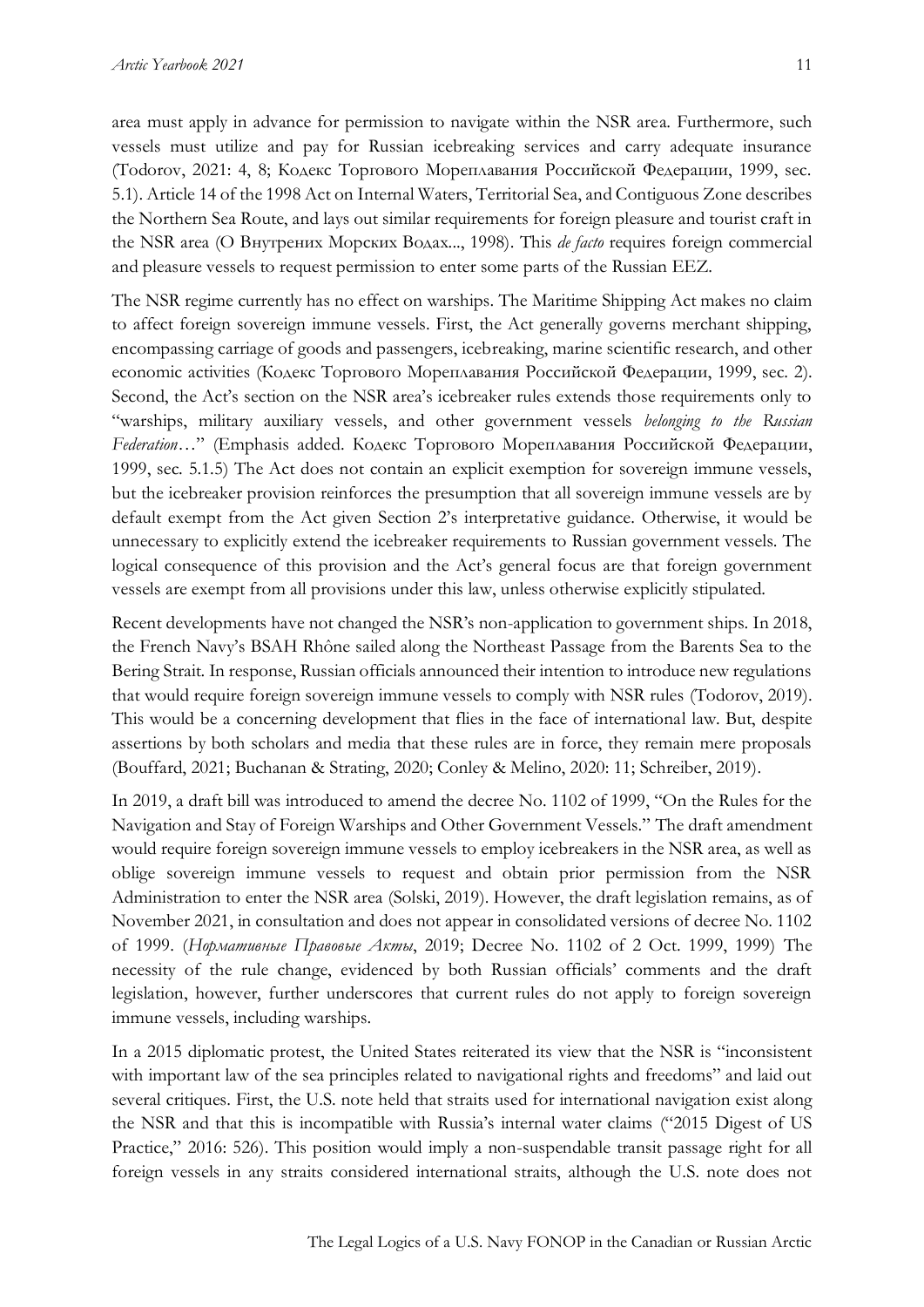area must apply in advance for permission to navigate within the NSR area. Furthermore, such vessels must utilize and pay for Russian icebreaking services and carry adequate insurance (Todorov, 2021: 4, 8; Кодекс Торгового Мореплавания Российской Федерации, 1999, sec. 5.1). Article 14 of the 1998 Act on Internal Waters, Territorial Sea, and Contiguous Zone describes the Northern Sea Route, and lays out similar requirements for foreign pleasure and tourist craft in the NSR area (О Внутрених Морских Водах..., 1998). This *de facto* requires foreign commercial

and pleasure vessels to request permission to enter some parts of the Russian EEZ.

The NSR regime currently has no effect on warships. The Maritime Shipping Act makes no claim to affect foreign sovereign immune vessels. First, the Act generally governs merchant shipping, encompassing carriage of goods and passengers, icebreaking, marine scientific research, and other economic activities (Кодекс Торгового Мореплавания Российской Федерации, 1999, sec. 2). Second, the Act's section on the NSR area's icebreaker rules extends those requirements only to "warships, military auxiliary vessels, and other government vessels *belonging to the Russian Federation*…" (Emphasis added. Кодекс Торгового Мореплавания Российской Федерации, 1999, sec. 5.1.5) The Act does not contain an explicit exemption for sovereign immune vessels, but the icebreaker provision reinforces the presumption that all sovereign immune vessels are by default exempt from the Act given Section 2's interpretative guidance. Otherwise, it would be unnecessary to explicitly extend the icebreaker requirements to Russian government vessels. The logical consequence of this provision and the Act's general focus are that foreign government vessels are exempt from all provisions under this law, unless otherwise explicitly stipulated.

Recent developments have not changed the NSR's non-application to government ships. In 2018, the French Navy's BSAH Rhône sailed along the Northeast Passage from the Barents Sea to the Bering Strait. In response, Russian officials announced their intention to introduce new regulations that would require foreign sovereign immune vessels to comply with NSR rules (Todorov, 2019). This would be a concerning development that flies in the face of international law. But, despite assertions by both scholars and media that these rules are in force, they remain mere proposals (Bouffard, 2021; Buchanan & Strating, 2020; Conley & Melino, 2020: 11; Schreiber, 2019).

In 2019, a draft bill was introduced to amend the decree No. 1102 of 1999, "On the Rules for the Navigation and Stay of Foreign Warships and Other Government Vessels." The draft amendment would require foreign sovereign immune vessels to employ icebreakers in the NSR area, as well as oblige sovereign immune vessels to request and obtain prior permission from the NSR Administration to enter the NSR area (Solski, 2019). However, the draft legislation remains, as of November 2021, in consultation and does not appear in consolidated versions of decree No. 1102 of 1999. (*Нормативные Правовые Акты*, 2019; Decree No. 1102 of 2 Oct. 1999, 1999) The necessity of the rule change, evidenced by both Russian officials' comments and the draft legislation, however, further underscores that current rules do not apply to foreign sovereign immune vessels, including warships.

In a 2015 diplomatic protest, the United States reiterated its view that the NSR is "inconsistent with important law of the sea principles related to navigational rights and freedoms" and laid out several critiques. First, the U.S. note held that straits used for international navigation exist along the NSR and that this is incompatible with Russia's internal water claims ("2015 Digest of US Practice," 2016: 526). This position would imply a non-suspendable transit passage right for all foreign vessels in any straits considered international straits, although the U.S. note does not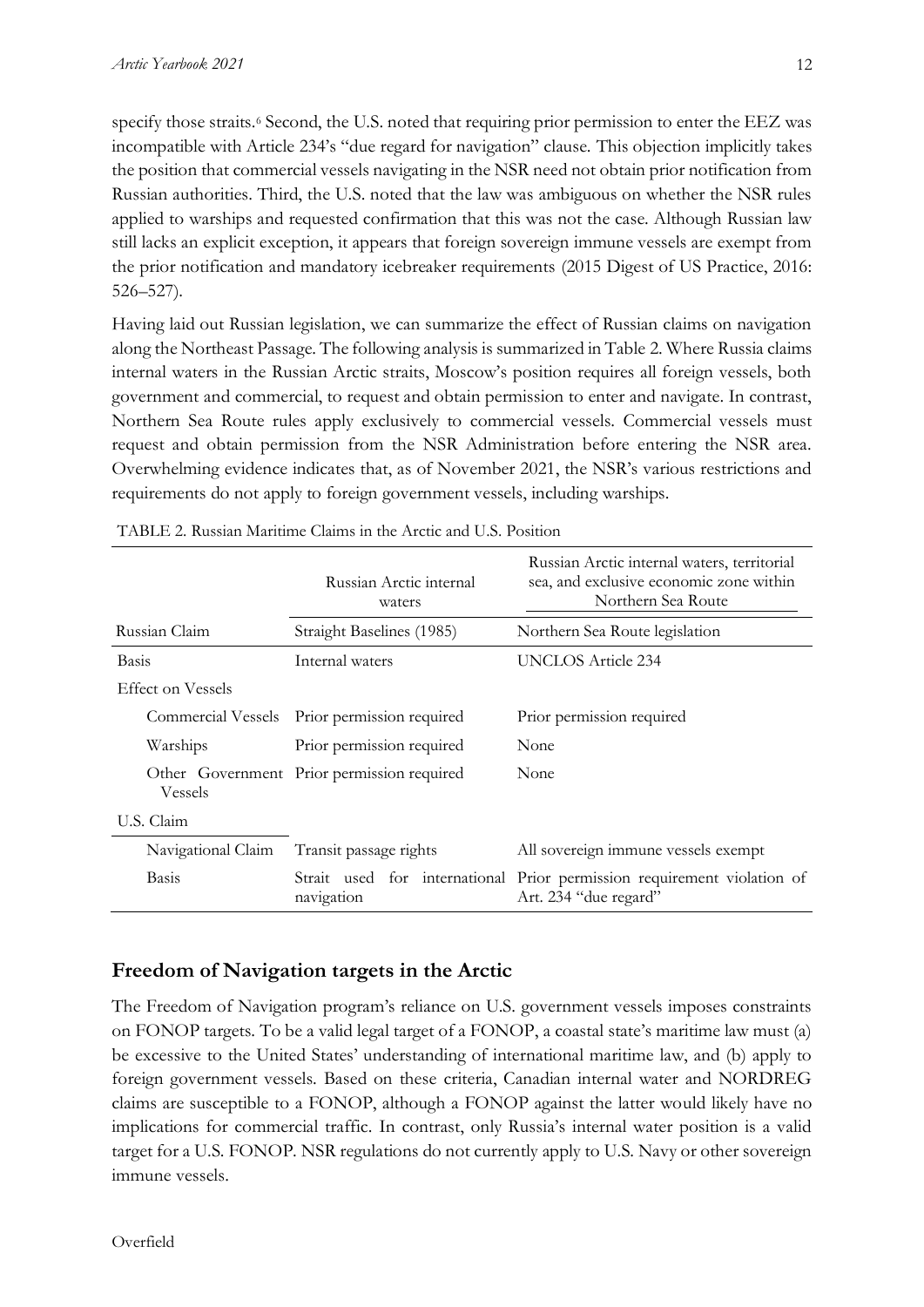specify those straits.<sup>6</sup> Second, the U.S. noted that requiring prior permission to enter the EEZ was

incompatible with Article 234's "due regard for navigation" clause. This objection implicitly takes the position that commercial vessels navigating in the NSR need not obtain prior notification from Russian authorities. Third, the U.S. noted that the law was ambiguous on whether the NSR rules applied to warships and requested confirmation that this was not the case. Although Russian law still lacks an explicit exception, it appears that foreign sovereign immune vessels are exempt from the prior notification and mandatory icebreaker requirements (2015 Digest of US Practice, 2016: 526–527).

Having laid out Russian legislation, we can summarize the effect of Russian claims on navigation along the Northeast Passage. The following analysis is summarized in Table 2. Where Russia claims internal waters in the Russian Arctic straits, Moscow's position requires all foreign vessels, both government and commercial, to request and obtain permission to enter and navigate. In contrast, Northern Sea Route rules apply exclusively to commercial vessels. Commercial vessels must request and obtain permission from the NSR Administration before entering the NSR area. Overwhelming evidence indicates that, as of November 2021, the NSR's various restrictions and requirements do not apply to foreign government vessels, including warships.

|                          | Russian Arctic internal<br>waters          | Russian Arctic internal waters, territorial<br>sea, and exclusive economic zone within<br>Northern Sea Route |
|--------------------------|--------------------------------------------|--------------------------------------------------------------------------------------------------------------|
| Russian Claim            | Straight Baselines (1985)                  | Northern Sea Route legislation                                                                               |
| Basis                    | Internal waters                            | UNCLOS Article 234                                                                                           |
| <b>Effect on Vessels</b> |                                            |                                                                                                              |
| Commercial Vessels       | Prior permission required                  | Prior permission required                                                                                    |
| Warships                 | Prior permission required                  | None                                                                                                         |
| Vessels                  | Other Government Prior permission required | None                                                                                                         |
| U.S. Claim               |                                            |                                                                                                              |
| Navigational Claim       | Transit passage rights                     | All sovereign immune vessels exempt                                                                          |
| Basis                    | navigation                                 | Strait used for international Prior permission requirement violation of<br>Art. 234 "due regard"             |

TABLE 2. Russian Maritime Claims in the Arctic and U.S. Position

# **Freedom of Navigation targets in the Arctic**

The Freedom of Navigation program's reliance on U.S. government vessels imposes constraints on FONOP targets. To be a valid legal target of a FONOP, a coastal state's maritime law must (a) be excessive to the United States' understanding of international maritime law, and (b) apply to foreign government vessels. Based on these criteria, Canadian internal water and NORDREG claims are susceptible to a FONOP, although a FONOP against the latter would likely have no implications for commercial traffic. In contrast, only Russia's internal water position is a valid target for a U.S. FONOP. NSR regulations do not currently apply to U.S. Navy or other sovereign immune vessels.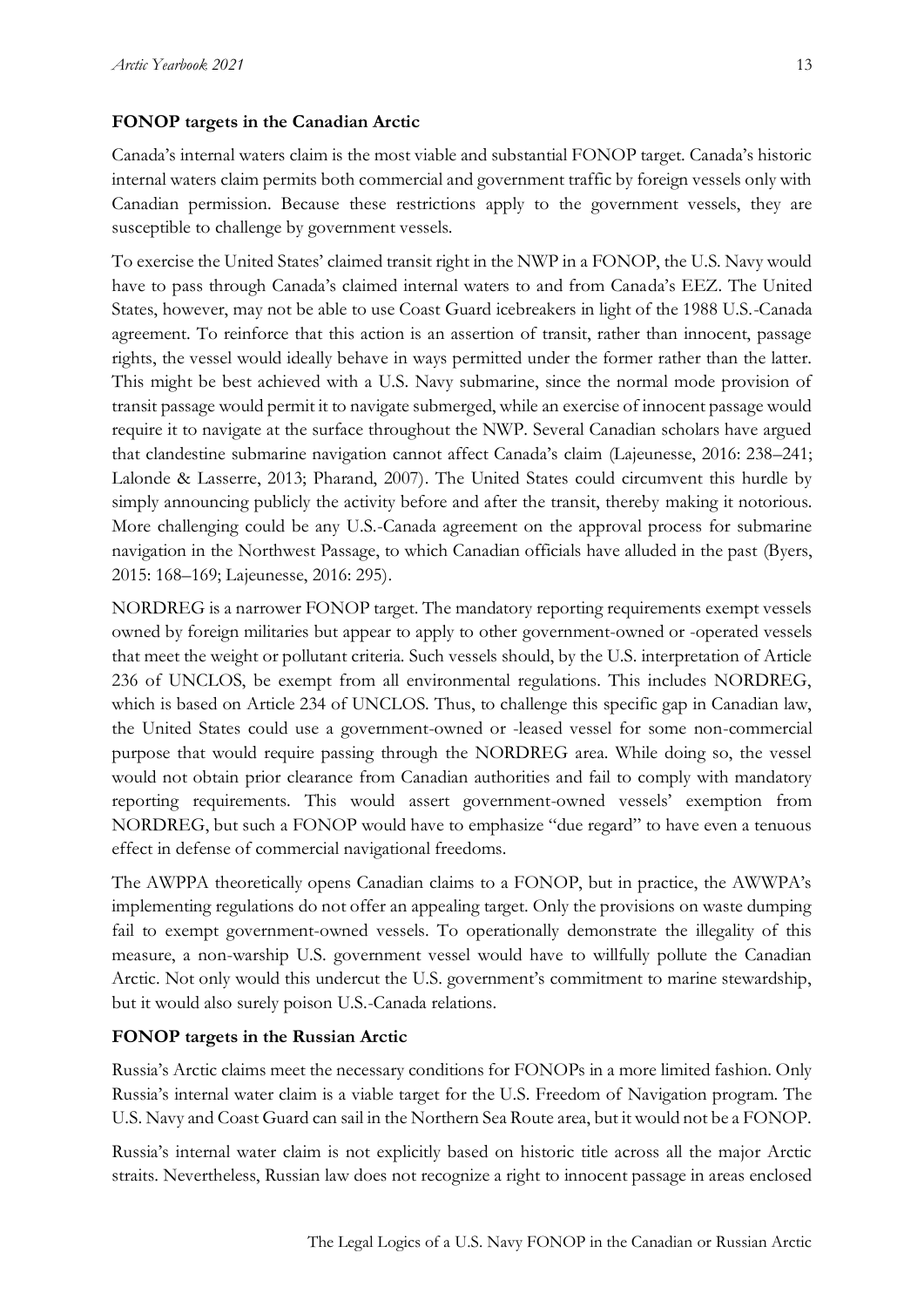## **FONOP targets in the Canadian Arctic**

Canada's internal waters claim is the most viable and substantial FONOP target. Canada's historic internal waters claim permits both commercial and government traffic by foreign vessels only with Canadian permission. Because these restrictions apply to the government vessels, they are susceptible to challenge by government vessels.

To exercise the United States' claimed transit right in the NWP in a FONOP, the U.S. Navy would have to pass through Canada's claimed internal waters to and from Canada's EEZ. The United States, however, may not be able to use Coast Guard icebreakers in light of the 1988 U.S.-Canada agreement. To reinforce that this action is an assertion of transit, rather than innocent, passage rights, the vessel would ideally behave in ways permitted under the former rather than the latter. This might be best achieved with a U.S. Navy submarine, since the normal mode provision of transit passage would permit it to navigate submerged, while an exercise of innocent passage would require it to navigate at the surface throughout the NWP. Several Canadian scholars have argued that clandestine submarine navigation cannot affect Canada's claim (Lajeunesse, 2016: 238–241; Lalonde & Lasserre, 2013; Pharand, 2007). The United States could circumvent this hurdle by simply announcing publicly the activity before and after the transit, thereby making it notorious. More challenging could be any U.S.-Canada agreement on the approval process for submarine navigation in the Northwest Passage, to which Canadian officials have alluded in the past (Byers, 2015: 168–169; Lajeunesse, 2016: 295).

NORDREG is a narrower FONOP target. The mandatory reporting requirements exempt vessels owned by foreign militaries but appear to apply to other government-owned or -operated vessels that meet the weight or pollutant criteria. Such vessels should, by the U.S. interpretation of Article 236 of UNCLOS, be exempt from all environmental regulations. This includes NORDREG, which is based on Article 234 of UNCLOS. Thus, to challenge this specific gap in Canadian law, the United States could use a government-owned or -leased vessel for some non-commercial purpose that would require passing through the NORDREG area. While doing so, the vessel would not obtain prior clearance from Canadian authorities and fail to comply with mandatory reporting requirements. This would assert government-owned vessels' exemption from NORDREG, but such a FONOP would have to emphasize "due regard" to have even a tenuous effect in defense of commercial navigational freedoms.

The AWPPA theoretically opens Canadian claims to a FONOP, but in practice, the AWWPA's implementing regulations do not offer an appealing target. Only the provisions on waste dumping fail to exempt government-owned vessels. To operationally demonstrate the illegality of this measure, a non-warship U.S. government vessel would have to willfully pollute the Canadian Arctic. Not only would this undercut the U.S. government's commitment to marine stewardship, but it would also surely poison U.S.-Canada relations.

#### **FONOP targets in the Russian Arctic**

Russia's Arctic claims meet the necessary conditions for FONOPs in a more limited fashion. Only Russia's internal water claim is a viable target for the U.S. Freedom of Navigation program. The U.S. Navy and Coast Guard can sail in the Northern Sea Route area, but it would not be a FONOP.

Russia's internal water claim is not explicitly based on historic title across all the major Arctic straits. Nevertheless, Russian law does not recognize a right to innocent passage in areas enclosed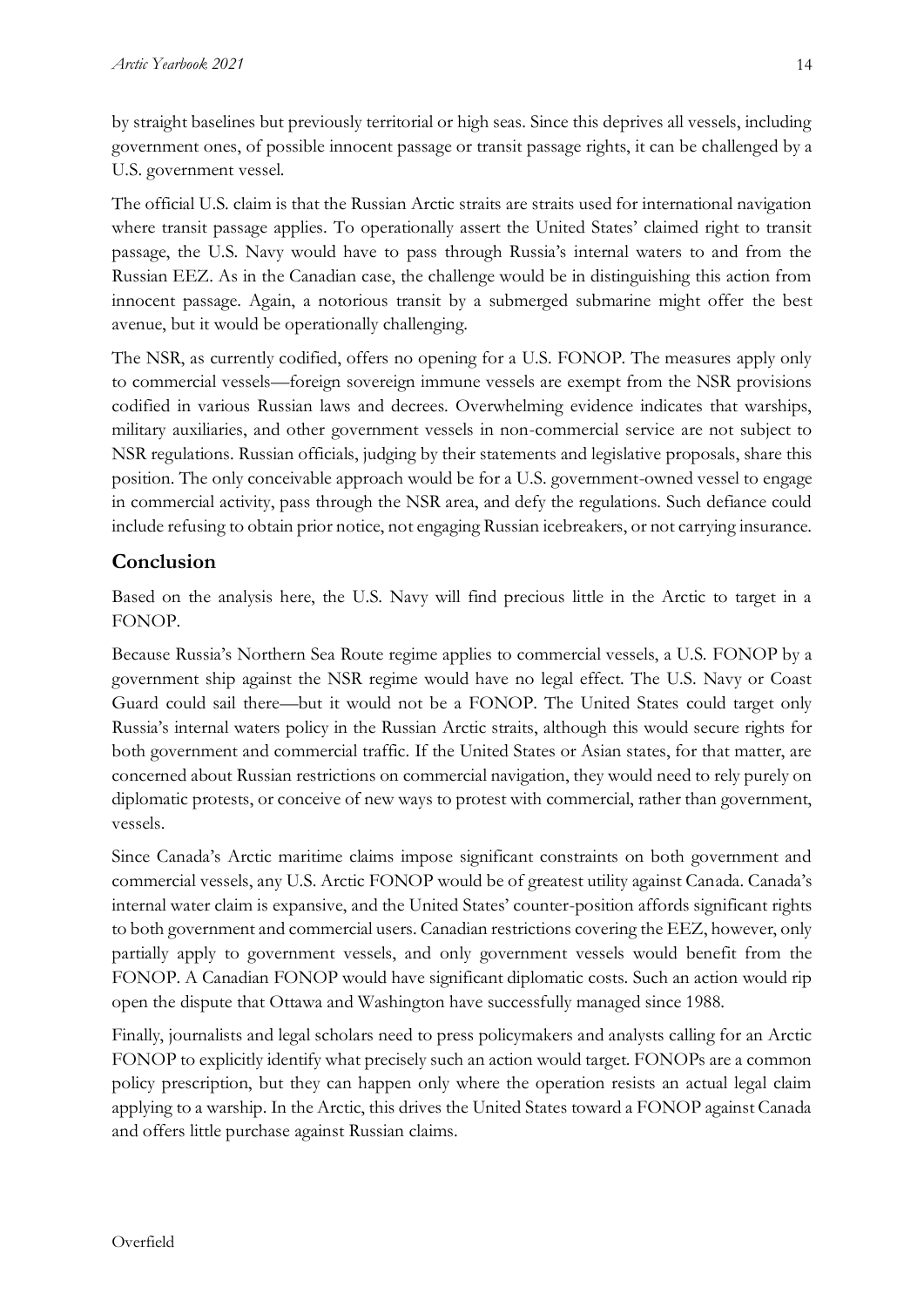by straight baselines but previously territorial or high seas. Since this deprives all vessels, including government ones, of possible innocent passage or transit passage rights, it can be challenged by a U.S. government vessel.

The official U.S. claim is that the Russian Arctic straits are straits used for international navigation where transit passage applies. To operationally assert the United States' claimed right to transit passage, the U.S. Navy would have to pass through Russia's internal waters to and from the Russian EEZ. As in the Canadian case, the challenge would be in distinguishing this action from innocent passage. Again, a notorious transit by a submerged submarine might offer the best avenue, but it would be operationally challenging.

The NSR, as currently codified, offers no opening for a U.S. FONOP. The measures apply only to commercial vessels—foreign sovereign immune vessels are exempt from the NSR provisions codified in various Russian laws and decrees. Overwhelming evidence indicates that warships, military auxiliaries, and other government vessels in non-commercial service are not subject to NSR regulations. Russian officials, judging by their statements and legislative proposals, share this position. The only conceivable approach would be for a U.S. government-owned vessel to engage in commercial activity, pass through the NSR area, and defy the regulations. Such defiance could include refusing to obtain prior notice, not engaging Russian icebreakers, or not carrying insurance.

# **Conclusion**

Based on the analysis here, the U.S. Navy will find precious little in the Arctic to target in a FONOP.

Because Russia's Northern Sea Route regime applies to commercial vessels, a U.S. FONOP by a government ship against the NSR regime would have no legal effect. The U.S. Navy or Coast Guard could sail there—but it would not be a FONOP. The United States could target only Russia's internal waters policy in the Russian Arctic straits, although this would secure rights for both government and commercial traffic. If the United States or Asian states, for that matter, are concerned about Russian restrictions on commercial navigation, they would need to rely purely on diplomatic protests, or conceive of new ways to protest with commercial, rather than government, vessels.

Since Canada's Arctic maritime claims impose significant constraints on both government and commercial vessels, any U.S. Arctic FONOP would be of greatest utility against Canada. Canada's internal water claim is expansive, and the United States' counter-position affords significant rights to both government and commercial users. Canadian restrictions covering the EEZ, however, only partially apply to government vessels, and only government vessels would benefit from the FONOP. A Canadian FONOP would have significant diplomatic costs. Such an action would rip open the dispute that Ottawa and Washington have successfully managed since 1988.

Finally, journalists and legal scholars need to press policymakers and analysts calling for an Arctic FONOP to explicitly identify what precisely such an action would target. FONOPs are a common policy prescription, but they can happen only where the operation resists an actual legal claim applying to a warship. In the Arctic, this drives the United States toward a FONOP against Canada and offers little purchase against Russian claims.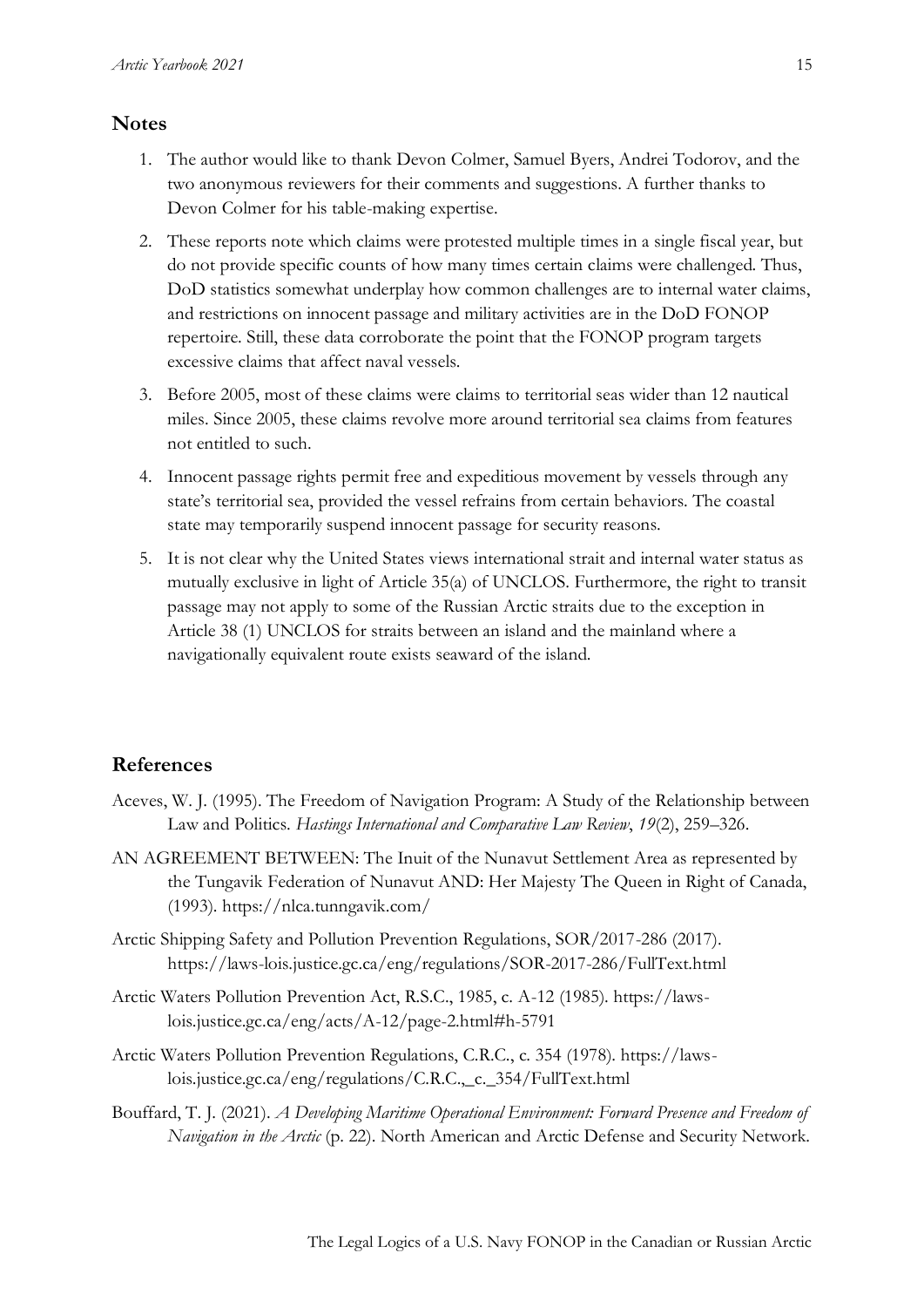## **Notes**

- 1. The author would like to thank Devon Colmer, Samuel Byers, Andrei Todorov, and the two anonymous reviewers for their comments and suggestions. A further thanks to Devon Colmer for his table-making expertise.
- 2. These reports note which claims were protested multiple times in a single fiscal year, but do not provide specific counts of how many times certain claims were challenged. Thus, DoD statistics somewhat underplay how common challenges are to internal water claims, and restrictions on innocent passage and military activities are in the DoD FONOP repertoire. Still, these data corroborate the point that the FONOP program targets excessive claims that affect naval vessels.
- 3. Before 2005, most of these claims were claims to territorial seas wider than 12 nautical miles. Since 2005, these claims revolve more around territorial sea claims from features not entitled to such.
- 4. Innocent passage rights permit free and expeditious movement by vessels through any state's territorial sea, provided the vessel refrains from certain behaviors. The coastal state may temporarily suspend innocent passage for security reasons.
- 5. It is not clear why the United States views international strait and internal water status as mutually exclusive in light of Article 35(a) of UNCLOS. Furthermore, the right to transit passage may not apply to some of the Russian Arctic straits due to the exception in Article 38 (1) UNCLOS for straits between an island and the mainland where a navigationally equivalent route exists seaward of the island.

### **References**

- Aceves, W. J. (1995). The Freedom of Navigation Program: A Study of the Relationship between Law and Politics. *Hastings International and Comparative Law Review*, *19*(2), 259–326.
- AN AGREEMENT BETWEEN: The Inuit of the Nunavut Settlement Area as represented by the Tungavik Federation of Nunavut AND: Her Majesty The Queen in Right of Canada, (1993). https://nlca.tunngavik.com/
- Arctic Shipping Safety and Pollution Prevention Regulations, SOR/2017-286 (2017). https://laws-lois.justice.gc.ca/eng/regulations/SOR-2017-286/FullText.html
- Arctic Waters Pollution Prevention Act, R.S.C., 1985, c. A-12 (1985). https://lawslois.justice.gc.ca/eng/acts/A-12/page-2.html#h-5791
- Arctic Waters Pollution Prevention Regulations, C.R.C., c. 354 (1978). https://lawslois.justice.gc.ca/eng/regulations/C.R.C.,\_c.\_354/FullText.html
- Bouffard, T. J. (2021). *A Developing Maritime Operational Environment: Forward Presence and Freedom of Navigation in the Arctic* (p. 22). North American and Arctic Defense and Security Network.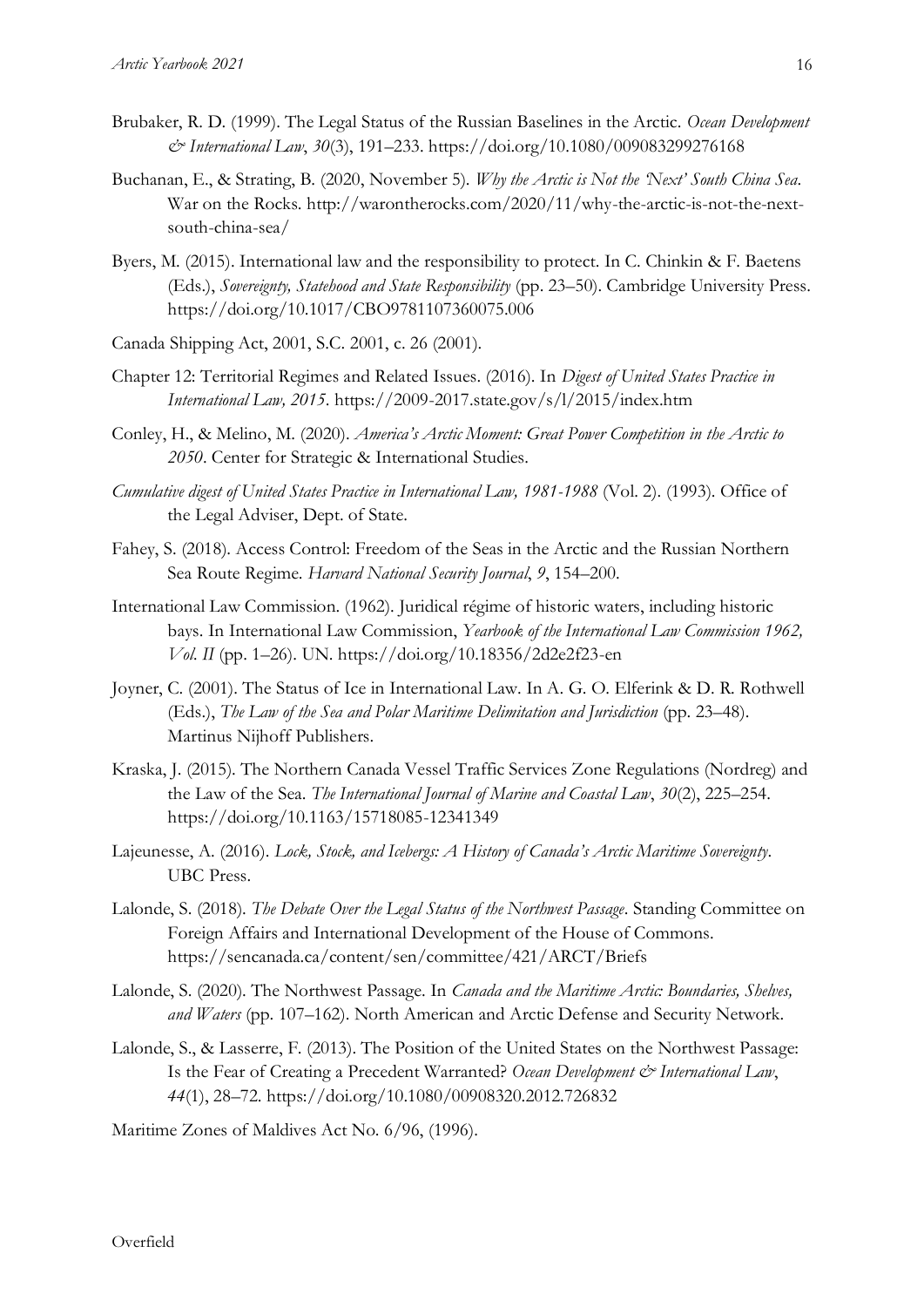- Brubaker, R. D. (1999). The Legal Status of the Russian Baselines in the Arctic. *Ocean Development & International Law*, *30*(3), 191–233. https://doi.org/10.1080/009083299276168
- Buchanan, E., & Strating, B. (2020, November 5). *Why the Arctic is Not the 'Next' South China Sea*. War on the Rocks. http://warontherocks.com/2020/11/why-the-arctic-is-not-the-nextsouth-china-sea/
- Byers, M. (2015). International law and the responsibility to protect. In C. Chinkin & F. Baetens (Eds.), *Sovereignty, Statehood and State Responsibility* (pp. 23–50). Cambridge University Press. https://doi.org/10.1017/CBO9781107360075.006
- Canada Shipping Act, 2001, S.C. 2001, c. 26 (2001).
- Chapter 12: Territorial Regimes and Related Issues. (2016). In *Digest of United States Practice in International Law, 2015*. https://2009-2017.state.gov/s/l/2015/index.htm
- Conley, H., & Melino, M. (2020). *America's Arctic Moment: Great Power Competition in the Arctic to 2050*. Center for Strategic & International Studies.
- *Cumulative digest of United States Practice in International Law, 1981-1988* (Vol. 2). (1993). Office of the Legal Adviser, Dept. of State.
- Fahey, S. (2018). Access Control: Freedom of the Seas in the Arctic and the Russian Northern Sea Route Regime. *Harvard National Security Journal*, *9*, 154–200.
- International Law Commission. (1962). Juridical régime of historic waters, including historic bays. In International Law Commission, *Yearbook of the International Law Commission 1962, Vol. II* (pp. 1–26). UN. https://doi.org/10.18356/2d2e2f23-en
- Joyner, C. (2001). The Status of Ice in International Law. In A. G. O. Elferink & D. R. Rothwell (Eds.), *The Law of the Sea and Polar Maritime Delimitation and Jurisdiction* (pp. 23–48). Martinus Nijhoff Publishers.
- Kraska, J. (2015). The Northern Canada Vessel Traffic Services Zone Regulations (Nordreg) and the Law of the Sea. *The International Journal of Marine and Coastal Law*, *30*(2), 225–254. https://doi.org/10.1163/15718085-12341349
- Lajeunesse, A. (2016). *Lock, Stock, and Icebergs: A History of Canada's Arctic Maritime Sovereignty*. UBC Press.
- Lalonde, S. (2018). *The Debate Over the Legal Status of the Northwest Passage*. Standing Committee on Foreign Affairs and International Development of the House of Commons. https://sencanada.ca/content/sen/committee/421/ARCT/Briefs
- Lalonde, S. (2020). The Northwest Passage. In *Canada and the Maritime Arctic: Boundaries, Shelves, and Waters* (pp. 107–162). North American and Arctic Defense and Security Network.
- Lalonde, S., & Lasserre, F. (2013). The Position of the United States on the Northwest Passage: Is the Fear of Creating a Precedent Warranted? *Ocean Development & International Law*, *44*(1), 28–72. https://doi.org/10.1080/00908320.2012.726832

Maritime Zones of Maldives Act No. 6/96, (1996).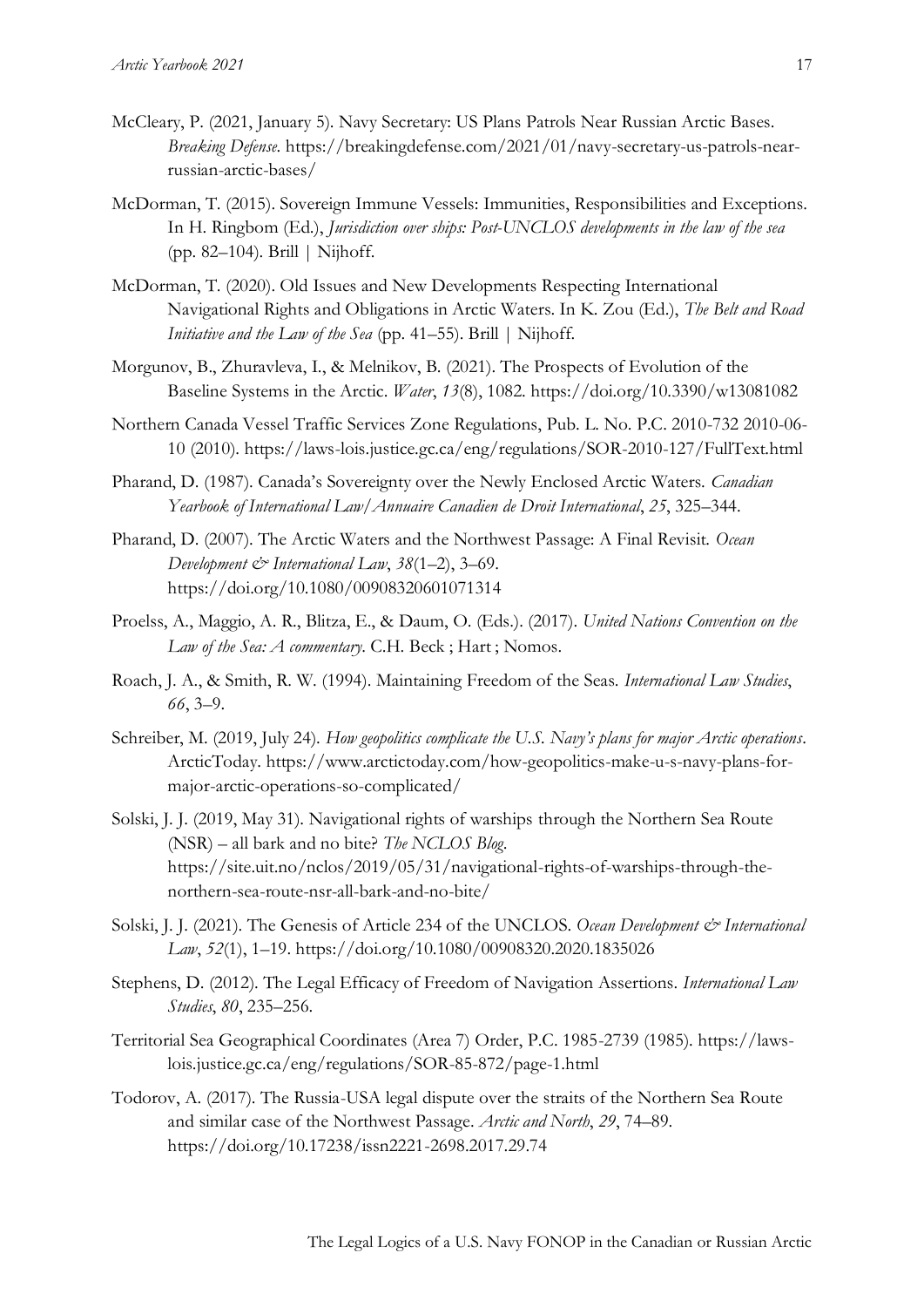- McCleary, P. (2021, January 5). Navy Secretary: US Plans Patrols Near Russian Arctic Bases. *Breaking Defense*. https://breakingdefense.com/2021/01/navy-secretary-us-patrols-nearrussian-arctic-bases/
- McDorman, T. (2015). Sovereign Immune Vessels: Immunities, Responsibilities and Exceptions. In H. Ringbom (Ed.), *Jurisdiction over ships: Post-UNCLOS developments in the law of the sea* (pp. 82–104). Brill | Nijhoff.
- McDorman, T. (2020). Old Issues and New Developments Respecting International Navigational Rights and Obligations in Arctic Waters. In K. Zou (Ed.), *The Belt and Road Initiative and the Law of the Sea* (pp. 41–55). Brill | Nijhoff.
- Morgunov, B., Zhuravleva, I., & Melnikov, B. (2021). The Prospects of Evolution of the Baseline Systems in the Arctic. *Water*, *13*(8), 1082. https://doi.org/10.3390/w13081082
- Northern Canada Vessel Traffic Services Zone Regulations, Pub. L. No. P.C. 2010-732 2010-06- 10 (2010). https://laws-lois.justice.gc.ca/eng/regulations/SOR-2010-127/FullText.html
- Pharand, D. (1987). Canada's Sovereignty over the Newly Enclosed Arctic Waters. *Canadian Yearbook of International Law/Annuaire Canadien de Droit International*, *25*, 325–344.
- Pharand, D. (2007). The Arctic Waters and the Northwest Passage: A Final Revisit. *Ocean Development*  $\mathcal{Q}^*$  *International Law, 38(1–2), 3–69.* https://doi.org/10.1080/00908320601071314
- Proelss, A., Maggio, A. R., Blitza, E., & Daum, O. (Eds.). (2017). *United Nations Convention on the Law of the Sea: A commentary*. C.H. Beck ; Hart ; Nomos.
- Roach, J. A., & Smith, R. W. (1994). Maintaining Freedom of the Seas. *International Law Studies*, *66*, 3–9.
- Schreiber, M. (2019, July 24). *How geopolitics complicate the U.S. Navy's plans for major Arctic operations*. ArcticToday. https://www.arctictoday.com/how-geopolitics-make-u-s-navy-plans-formajor-arctic-operations-so-complicated/
- Solski, J. J. (2019, May 31). Navigational rights of warships through the Northern Sea Route (NSR) – all bark and no bite? *The NCLOS Blog*. https://site.uit.no/nclos/2019/05/31/navigational-rights-of-warships-through-thenorthern-sea-route-nsr-all-bark-and-no-bite/
- Solski, J. J. (2021). The Genesis of Article 234 of the UNCLOS. *Ocean Development & International Law*, *52*(1), 1–19. https://doi.org/10.1080/00908320.2020.1835026
- Stephens, D. (2012). The Legal Efficacy of Freedom of Navigation Assertions. *International Law Studies*, *80*, 235–256.
- Territorial Sea Geographical Coordinates (Area 7) Order, P.C. 1985-2739 (1985). https://lawslois.justice.gc.ca/eng/regulations/SOR-85-872/page-1.html
- Todorov, A. (2017). The Russia-USA legal dispute over the straits of the Northern Sea Route and similar case of the Northwest Passage. *Arctic and North*, *29*, 74–89. https://doi.org/10.17238/issn2221-2698.2017.29.74